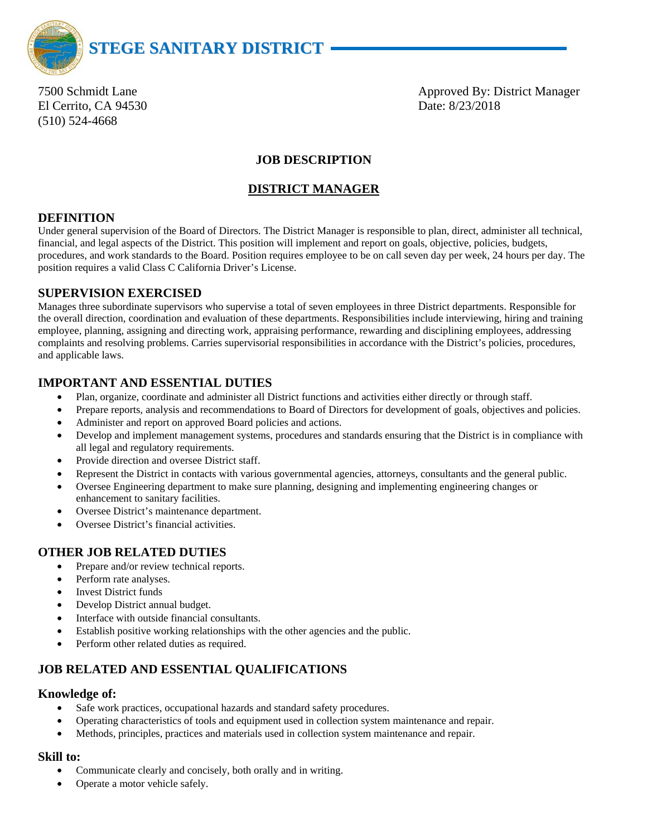

El Cerrito, CA 94530 Date: 8/23/2018 (510) 524-4668

7500 Schmidt Lane **Approved By: District Manager** Approved By: District Manager

## **JOB DESCRIPTION**

### **DISTRICT MANAGER**

### **DEFINITION**

Under general supervision of the Board of Directors. The District Manager is responsible to plan, direct, administer all technical, financial, and legal aspects of the District. This position will implement and report on goals, objective, policies, budgets, procedures, and work standards to the Board. Position requires employee to be on call seven day per week, 24 hours per day. The position requires a valid Class C California Driver's License.

### **SUPERVISION EXERCISED**

Manages three subordinate supervisors who supervise a total of seven employees in three District departments. Responsible for the overall direction, coordination and evaluation of these departments. Responsibilities include interviewing, hiring and training employee, planning, assigning and directing work, appraising performance, rewarding and disciplining employees, addressing complaints and resolving problems. Carries supervisorial responsibilities in accordance with the District's policies, procedures, and applicable laws.

### **IMPORTANT AND ESSENTIAL DUTIES**

- Plan, organize, coordinate and administer all District functions and activities either directly or through staff.
- Prepare reports, analysis and recommendations to Board of Directors for development of goals, objectives and policies.
- Administer and report on approved Board policies and actions.
- Develop and implement management systems, procedures and standards ensuring that the District is in compliance with all legal and regulatory requirements.
- Provide direction and oversee District staff.
- Represent the District in contacts with various governmental agencies, attorneys, consultants and the general public.
- Oversee Engineering department to make sure planning, designing and implementing engineering changes or enhancement to sanitary facilities.
- Oversee District's maintenance department.
- Oversee District's financial activities.

### **OTHER JOB RELATED DUTIES**

- Prepare and/or review technical reports.
- Perform rate analyses.
- **Invest District funds**
- Develop District annual budget.
- Interface with outside financial consultants.
- Establish positive working relationships with the other agencies and the public.
- Perform other related duties as required.

# **JOB RELATED AND ESSENTIAL QUALIFICATIONS**

#### **Knowledge of:**

- Safe work practices, occupational hazards and standard safety procedures.
- Operating characteristics of tools and equipment used in collection system maintenance and repair.
- Methods, principles, practices and materials used in collection system maintenance and repair.

### **Skill to:**

- Communicate clearly and concisely, both orally and in writing.
- Operate a motor vehicle safely.